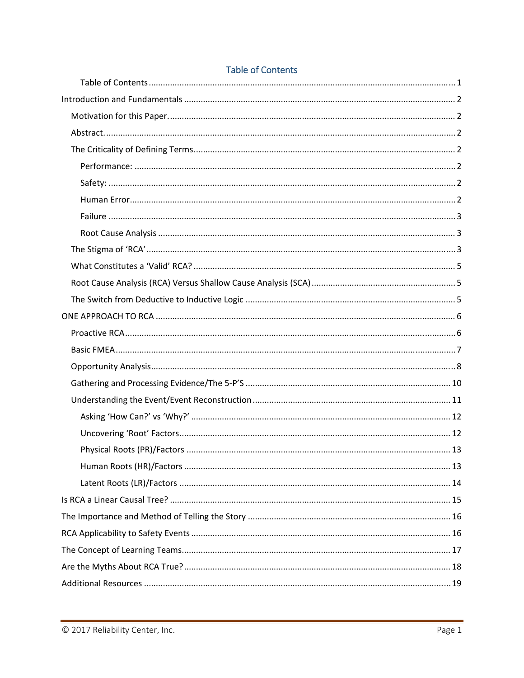## **Table of Contents**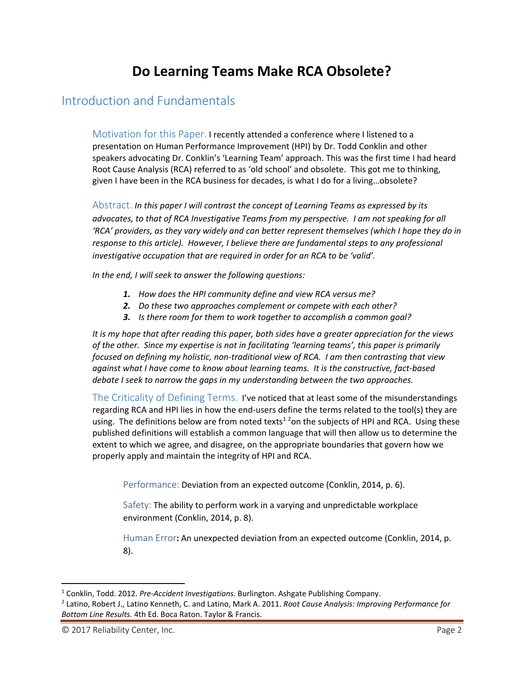# **Do Learning Teams Make RCA Obsolete?**

## Introduction and Fundamentals

Motivation for this Paper. I recently attended a conference where I listened to a presentation on Human Performance Improvement (HPI) by Dr. Todd Conklin and other speakers advocating Dr. Conklin's 'Learning Team' approach. This was the first time I had heard Root Cause Analysis (RCA) referred to as 'old school' and obsolete. This got me to thinking, given I have been in the RCA business for decades, is what I do for a living…obsolete?

Abstract. *In this paper I will contrast the concept of Learning Teams as expressed by its advocates, to that of RCA Investigative Teams from my perspective. I am not speaking for all 'RCA' providers, as they vary widely and can better represent themselves (which I hope they do in response to this article). However, I believe there are fundamental steps to any professional investigative occupation that are required in order for an RCA to be 'valid'.* 

*In the end, I will seek to answer the following questions:*

- *1. How does the HPI community define and view RCA versus me?*
- *2. Do these two approaches complement or compete with each other?*
- *3. Is there room for them to work together to accomplish a common goal?*

*It is my hope that after reading this paper, both sides have a greater appreciation for the views of the other. Since my expertise is not in facilitating 'learning teams', this paper is primarily focused on defining my holistic, non‐traditional view of RCA. I am then contrasting that view against what I have come to know about learning teams. It is the constructive, fact‐based debate I seek to narrow the gaps in my understanding between the two approaches.*

The Criticality of Defining Terms. I've noticed that at least some of the misunderstandings regarding RCA and HPI lies in how the end-users define the terms related to the tool(s) they are using. The definitions below are from noted texts<sup>12</sup>on the subjects of HPI and RCA. Using these published definitions will establish a common language that will then allow us to determine the extent to which we agree, and disagree, on the appropriate boundaries that govern how we properly apply and maintain the integrity of HPI and RCA.

Performance: Deviation from an expected outcome (Conklin, 2014, p. 6).

Safety: The ability to perform work in a varying and unpredictable workplace environment (Conklin, 2014, p. 8).

Human Error**:** An unexpected deviation from an expected outcome (Conklin, 2014, p. 8).

<sup>1</sup> Conklin, Todd. 2012. *Pre‐Accident Investigations*. Burlington. Ashgate Publishing Company.

<sup>2</sup> Latino, Robert J., Latino Kenneth, C. and Latino, Mark A. 2011. *Root Cause Analysis: Improving Performance for Bottom Line Results.* 4th Ed. Boca Raton. Taylor & Francis.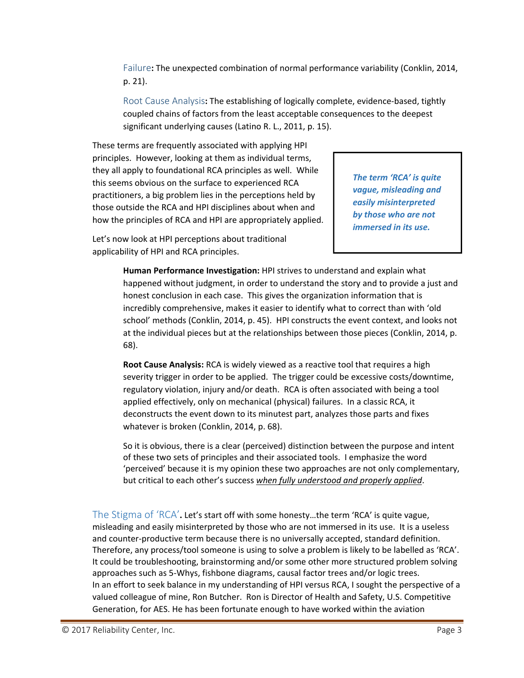Failure**:** The unexpected combination of normal performance variability (Conklin, 2014, p. 21).

Root Cause Analysis: The establishing of logically complete, evidence-based, tightly coupled chains of factors from the least acceptable consequences to the deepest significant underlying causes (Latino R. L., 2011, p. 15).

These terms are frequently associated with applying HPI principles. However, looking at them as individual terms, they all apply to foundational RCA principles as well. While this seems obvious on the surface to experienced RCA practitioners, a big problem lies in the perceptions held by those outside the RCA and HPI disciplines about when and how the principles of RCA and HPI are appropriately applied.

Let's now look at HPI perceptions about traditional applicability of HPI and RCA principles.

*The term 'RCA' is quite vague, misleading and easily misinterpreted by those who are not immersed in its use.* 

**Human Performance Investigation:** HPI strives to understand and explain what happened without judgment, in order to understand the story and to provide a just and honest conclusion in each case. This gives the organization information that is incredibly comprehensive, makes it easier to identify what to correct than with 'old school' methods (Conklin, 2014, p. 45). HPI constructs the event context, and looks not at the individual pieces but at the relationships between those pieces (Conklin, 2014, p. 68).

**Root Cause Analysis:** RCA is widely viewed as a reactive tool that requires a high severity trigger in order to be applied. The trigger could be excessive costs/downtime, regulatory violation, injury and/or death. RCA is often associated with being a tool applied effectively, only on mechanical (physical) failures. In a classic RCA, it deconstructs the event down to its minutest part, analyzes those parts and fixes whatever is broken (Conklin, 2014, p. 68).

So it is obvious, there is a clear (perceived) distinction between the purpose and intent of these two sets of principles and their associated tools. I emphasize the word 'perceived' because it is my opinion these two approaches are not only complementary, but critical to each other's success *when fully understood and properly applied*.

The Stigma of 'RCA'**.** Let's start off with some honesty…the term 'RCA' is quite vague, misleading and easily misinterpreted by those who are not immersed in its use. It is a useless and counter‐productive term because there is no universally accepted, standard definition. Therefore, any process/tool someone is using to solve a problem is likely to be labelled as 'RCA'. It could be troubleshooting, brainstorming and/or some other more structured problem solving approaches such as 5‐Whys, fishbone diagrams, causal factor trees and/or logic trees. In an effort to seek balance in my understanding of HPI versus RCA, I sought the perspective of a valued colleague of mine, Ron Butcher. Ron is Director of Health and Safety, U.S. Competitive Generation, for AES. He has been fortunate enough to have worked within the aviation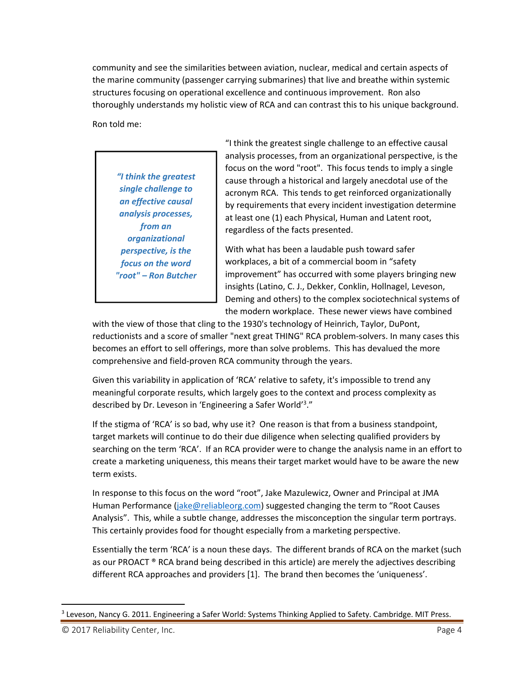community and see the similarities between aviation, nuclear, medical and certain aspects of the marine community (passenger carrying submarines) that live and breathe within systemic structures focusing on operational excellence and continuous improvement. Ron also thoroughly understands my holistic view of RCA and can contrast this to his unique background.

Ron told me:

*"I think the greatest single challenge to an effective causal analysis processes, from an organizational perspective, is the focus on the word "root" – Ron Butcher* "I think the greatest single challenge to an effective causal analysis processes, from an organizational perspective, is the focus on the word "root". This focus tends to imply a single cause through a historical and largely anecdotal use of the acronym RCA. This tends to get reinforced organizationally by requirements that every incident investigation determine at least one (1) each Physical, Human and Latent root, regardless of the facts presented.

With what has been a laudable push toward safer workplaces, a bit of a commercial boom in "safety improvement" has occurred with some players bringing new insights (Latino, C. J., Dekker, Conklin, Hollnagel, Leveson, Deming and others) to the complex sociotechnical systems of the modern workplace. These newer views have combined

with the view of those that cling to the 1930's technology of Heinrich, Taylor, DuPont, reductionists and a score of smaller "next great THING" RCA problem‐solvers. In many cases this becomes an effort to sell offerings, more than solve problems. This has devalued the more comprehensive and field‐proven RCA community through the years.

Given this variability in application of 'RCA' relative to safety, it's impossible to trend any meaningful corporate results, which largely goes to the context and process complexity as described by Dr. Leveson in 'Engineering a Safer World'<sup>3</sup>."

If the stigma of 'RCA' is so bad, why use it? One reason is that from a business standpoint, target markets will continue to do their due diligence when selecting qualified providers by searching on the term 'RCA'. If an RCA provider were to change the analysis name in an effort to create a marketing uniqueness, this means their target market would have to be aware the new term exists.

In response to this focus on the word "root", Jake Mazulewicz, Owner and Principal at JMA Human Performance (jake@reliableorg.com) suggested changing the term to "Root Causes Analysis". This, while a subtle change, addresses the misconception the singular term portrays. This certainly provides food for thought especially from a marketing perspective.

Essentially the term 'RCA' is a noun these days. The different brands of RCA on the market (such as our PROACT ® RCA brand being described in this article) are merely the adjectives describing different RCA approaches and providers [1]. The brand then becomes the 'uniqueness'.

<sup>&</sup>lt;sup>3</sup> Leveson, Nancy G. 2011. Engineering a Safer World: Systems Thinking Applied to Safety. Cambridge. MIT Press.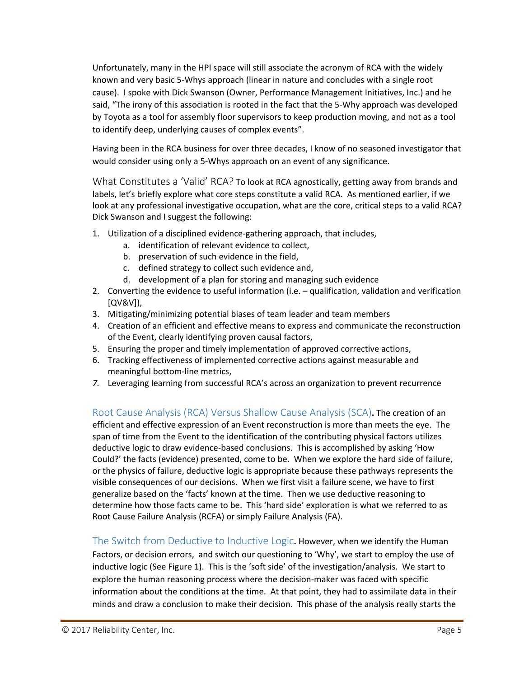Unfortunately, many in the HPI space will still associate the acronym of RCA with the widely known and very basic 5‐Whys approach (linear in nature and concludes with a single root cause). I spoke with Dick Swanson (Owner, Performance Management Initiatives, Inc.) and he said, "The irony of this association is rooted in the fact that the 5‐Why approach was developed by Toyota as a tool for assembly floor supervisors to keep production moving, and not as a tool to identify deep, underlying causes of complex events".

Having been in the RCA business for over three decades, I know of no seasoned investigator that would consider using only a 5‐Whys approach on an event of any significance.

What Constitutes a 'Valid' RCA? To look at RCA agnostically, getting away from brands and labels, let's briefly explore what core steps constitute a valid RCA. As mentioned earlier, if we look at any professional investigative occupation, what are the core, critical steps to a valid RCA? Dick Swanson and I suggest the following:

- 1. Utilization of a disciplined evidence‐gathering approach, that includes,
	- a. identification of relevant evidence to collect,
	- b. preservation of such evidence in the field,
	- c. defined strategy to collect such evidence and,
	- d. development of a plan for storing and managing such evidence
- 2. Converting the evidence to useful information (i.e. qualification, validation and verification [QV&V]),
- 3. Mitigating/minimizing potential biases of team leader and team members
- 4. Creation of an efficient and effective means to express and communicate the reconstruction of the Event, clearly identifying proven causal factors,
- 5. Ensuring the proper and timely implementation of approved corrective actions,
- 6. Tracking effectiveness of implemented corrective actions against measurable and meaningful bottom‐line metrics,
- *7.* Leveraging learning from successful RCA's across an organization to prevent recurrence

Root Cause Analysis (RCA) Versus Shallow Cause Analysis (SCA)**.** The creation of an efficient and effective expression of an Event reconstruction is more than meets the eye. The span of time from the Event to the identification of the contributing physical factors utilizes deductive logic to draw evidence‐based conclusions. This is accomplished by asking 'How Could?' the facts (evidence) presented, come to be. When we explore the hard side of failure, or the physics of failure, deductive logic is appropriate because these pathways represents the visible consequences of our decisions. When we first visit a failure scene, we have to first generalize based on the 'facts' known at the time. Then we use deductive reasoning to determine how those facts came to be. This 'hard side' exploration is what we referred to as Root Cause Failure Analysis (RCFA) or simply Failure Analysis (FA).

The Switch from Deductive to Inductive Logic**.** However, when we identify the Human Factors, or decision errors, and switch our questioning to 'Why', we start to employ the use of inductive logic (See Figure 1). This is the 'soft side' of the investigation/analysis. We start to explore the human reasoning process where the decision-maker was faced with specific information about the conditions at the time. At that point, they had to assimilate data in their minds and draw a conclusion to make their decision. This phase of the analysis really starts the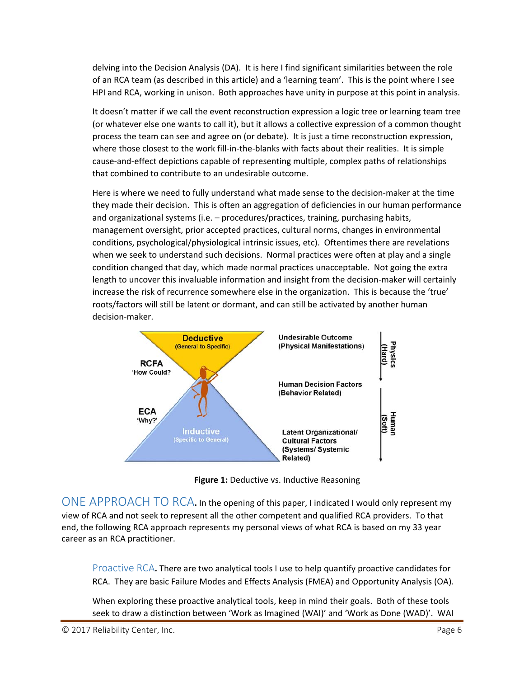delving into the Decision Analysis (DA). It is here I find significant similarities between the role of an RCA team (as described in this article) and a 'learning team'. This is the point where I see HPI and RCA, working in unison. Both approaches have unity in purpose at this point in analysis.

It doesn't matter if we call the event reconstruction expression a logic tree or learning team tree (or whatever else one wants to call it), but it allows a collective expression of a common thought process the team can see and agree on (or debate). It is just a time reconstruction expression, where those closest to the work fill-in-the-blanks with facts about their realities. It is simple cause‐and‐effect depictions capable of representing multiple, complex paths of relationships that combined to contribute to an undesirable outcome.

Here is where we need to fully understand what made sense to the decision-maker at the time they made their decision. This is often an aggregation of deficiencies in our human performance and organizational systems (i.e. – procedures/practices, training, purchasing habits, management oversight, prior accepted practices, cultural norms, changes in environmental conditions, psychological/physiological intrinsic issues, etc). Oftentimes there are revelations when we seek to understand such decisions. Normal practices were often at play and a single condition changed that day, which made normal practices unacceptable. Not going the extra length to uncover this invaluable information and insight from the decision-maker will certainly increase the risk of recurrence somewhere else in the organization. This is because the 'true' roots/factors will still be latent or dormant, and can still be activated by another human decision‐maker.



**Figure 1:** Deductive vs. Inductive Reasoning

ONE APPROACH TO RCA**.** In the opening of this paper, <sup>I</sup> indicated <sup>I</sup> would only represent my view of RCA and not seek to represent all the other competent and qualified RCA providers. To that end, the following RCA approach represents my personal views of what RCA is based on my 33 year career as an RCA practitioner.

Proactive RCA**.** There are two analytical tools I use to help quantify proactive candidates for RCA. They are basic Failure Modes and Effects Analysis (FMEA) and Opportunity Analysis (OA).

When exploring these proactive analytical tools, keep in mind their goals. Both of these tools seek to draw a distinction between 'Work as Imagined (WAI)' and 'Work as Done (WAD)'. WAI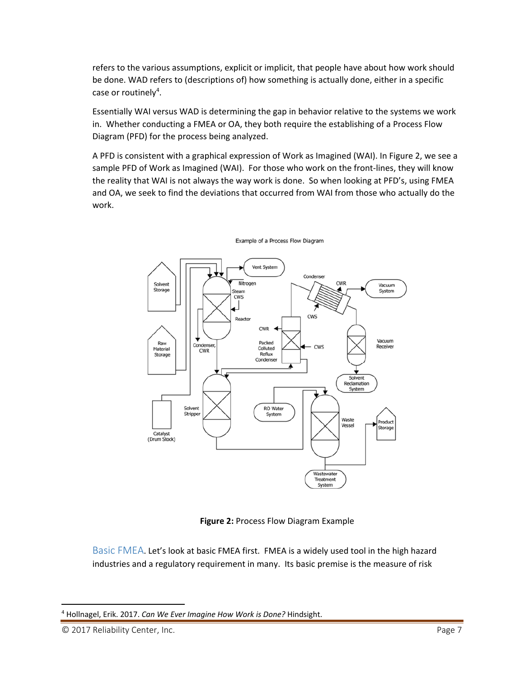refers to the various assumptions, explicit or implicit, that people have about how work should be done. WAD refers to (descriptions of) how something is actually done, either in a specific case or routinely<sup>4</sup>.

Essentially WAI versus WAD is determining the gap in behavior relative to the systems we work in. Whether conducting a FMEA or OA, they both require the establishing of a Process Flow Diagram (PFD) for the process being analyzed.

A PFD is consistent with a graphical expression of Work as Imagined (WAI). In Figure 2, we see a sample PFD of Work as Imagined (WAI). For those who work on the front-lines, they will know the reality that WAI is not always the way work is done. So when looking at PFD's, using FMEA and OA, we seek to find the deviations that occurred from WAI from those who actually do the work.



Example of a Process Flow Diagram

**Figure 2:** Process Flow Diagram Example

Basic FMEA. Let's look at basic FMEA first. FMEA is a widely used tool in the high hazard industries and a regulatory requirement in many. Its basic premise is the measure of risk

<sup>4</sup> Hollnagel, Erik. 2017. *Can We Ever Imagine How Work is Done?* Hindsight.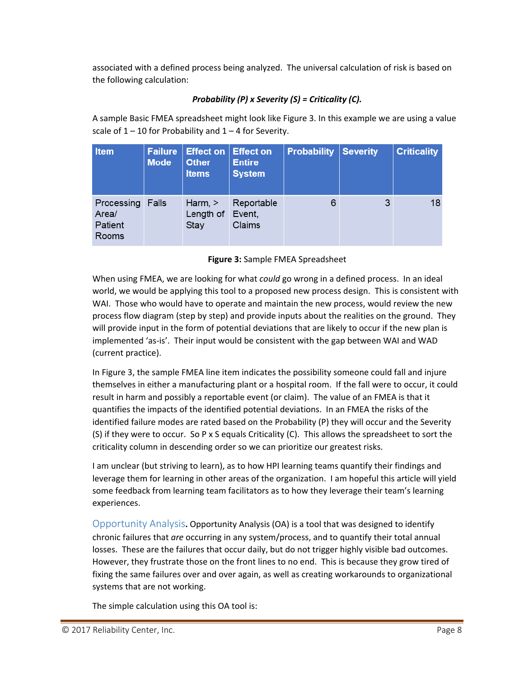associated with a defined process being analyzed. The universal calculation of risk is based on the following calculation:

## *Probability (P) x Severity (S) = Criticality (C).*

A sample Basic FMEA spreadsheet might look like Figure 3. In this example we are using a value scale of  $1 - 10$  for Probability and  $1 - 4$  for Severity.

| <b>Item</b>                             | <b>Failure</b><br><b>Mode</b> | <b>Effect on Effect on</b><br><b>Other</b><br><b>Items</b> | <b>Entire</b><br><b>System</b> | <b>Probability</b> | <b>Severity</b> | <b>Criticality</b> |
|-----------------------------------------|-------------------------------|------------------------------------------------------------|--------------------------------|--------------------|-----------------|--------------------|
| Processing<br>Area/<br>Patient<br>Rooms | Falls                         | Harm, $>$<br>Length of<br>Stay                             | Reportable<br>Event,<br>Claims | 6                  | 3               | 18                 |

## **Figure 3:** Sample FMEA Spreadsheet

When using FMEA, we are looking for what *could* go wrong in a defined process. In an ideal world, we would be applying this tool to a proposed new process design. This is consistent with WAI. Those who would have to operate and maintain the new process, would review the new process flow diagram (step by step) and provide inputs about the realities on the ground. They will provide input in the form of potential deviations that are likely to occur if the new plan is implemented 'as‐is'. Their input would be consistent with the gap between WAI and WAD (current practice).

In Figure 3, the sample FMEA line item indicates the possibility someone could fall and injure themselves in either a manufacturing plant or a hospital room. If the fall were to occur, it could result in harm and possibly a reportable event (or claim). The value of an FMEA is that it quantifies the impacts of the identified potential deviations. In an FMEA the risks of the identified failure modes are rated based on the Probability (P) they will occur and the Severity (S) if they were to occur. So P x S equals Criticality (C). This allows the spreadsheet to sort the criticality column in descending order so we can prioritize our greatest risks.

I am unclear (but striving to learn), as to how HPI learning teams quantify their findings and leverage them for learning in other areas of the organization. I am hopeful this article will yield some feedback from learning team facilitators as to how they leverage their team's learning experiences.

Opportunity Analysis**.** Opportunity Analysis (OA) is a tool that was designed to identify chronic failures that *are* occurring in any system/process, and to quantify their total annual losses. These are the failures that occur daily, but do not trigger highly visible bad outcomes. However, they frustrate those on the front lines to no end. This is because they grow tired of fixing the same failures over and over again, as well as creating workarounds to organizational systems that are not working.

The simple calculation using this OA tool is: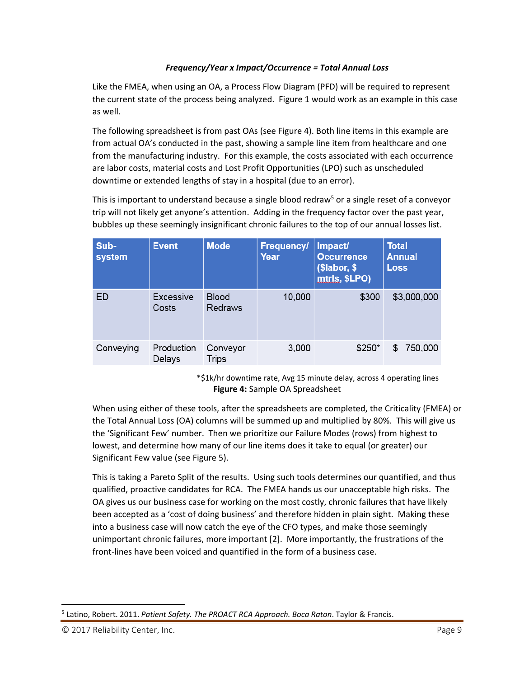## *Frequency/Year x Impact/Occurrence = Total Annual Loss*

Like the FMEA, when using an OA, a Process Flow Diagram (PFD) will be required to represent the current state of the process being analyzed. Figure 1 would work as an example in this case as well.

The following spreadsheet is from past OAs (see Figure 4). Both line items in this example are from actual OA's conducted in the past, showing a sample line item from healthcare and one from the manufacturing industry. For this example, the costs associated with each occurrence are labor costs, material costs and Lost Profit Opportunities (LPO) such as unscheduled downtime or extended lengths of stay in a hospital (due to an error).

This is important to understand because a single blood redraw<sup>5</sup> or a single reset of a conveyor trip will not likely get anyone's attention. Adding in the frequency factor over the past year, bubbles up these seemingly insignificant chronic failures to the top of our annual losses list.

| Sub-<br>system | <b>Event</b>         | <b>Mode</b>             | <b>Frequency/</b><br>Year | Impact/<br><b>Occurrence</b><br>(\$labor, \$<br>mtrls, \$LPO) | <b>Total</b><br><b>Annual</b><br><b>Loss</b> |
|----------------|----------------------|-------------------------|---------------------------|---------------------------------------------------------------|----------------------------------------------|
| ED             | Excessive<br>Costs   | <b>Blood</b><br>Redraws | 10,000                    | \$300                                                         | \$3,000,000                                  |
| Conveying      | Production<br>Delays | Conveyor<br>Trips       | 3,000                     | $$250*$                                                       | 750,000<br>S                                 |

 \*\$1k/hr downtime rate, Avg 15 minute delay, across 4 operating lines **Figure 4:** Sample OA Spreadsheet

When using either of these tools, after the spreadsheets are completed, the Criticality (FMEA) or the Total Annual Loss (OA) columns will be summed up and multiplied by 80%. This will give us the 'Significant Few' number. Then we prioritize our Failure Modes (rows) from highest to lowest, and determine how many of our line items does it take to equal (or greater) our Significant Few value (see Figure 5).

This is taking a Pareto Split of the results. Using such tools determines our quantified, and thus qualified, proactive candidates for RCA. The FMEA hands us our unacceptable high risks. The OA gives us our business case for working on the most costly, chronic failures that have likely been accepted as a 'cost of doing business' and therefore hidden in plain sight. Making these into a business case will now catch the eye of the CFO types, and make those seemingly unimportant chronic failures, more important [2]. More importantly, the frustrations of the front-lines have been voiced and quantified in the form of a business case.

<sup>5</sup> Latino, Robert. 2011. *Patient Safety. The PROACT RCA Approach. Boca Raton*. Taylor & Francis.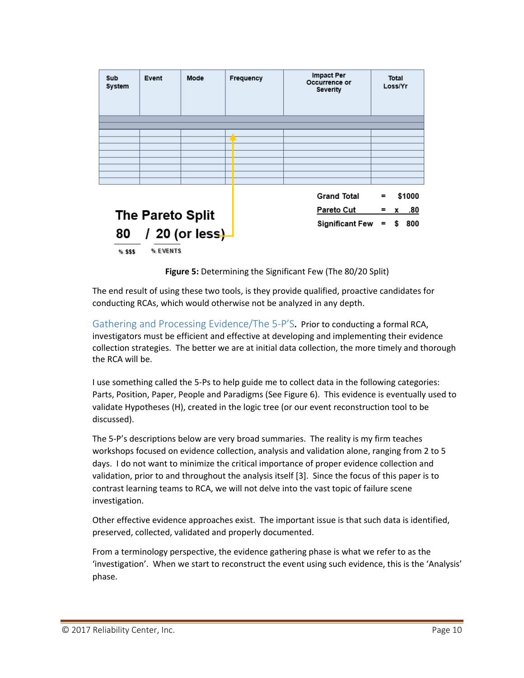| Sub<br>System                                                   | Event | Mode | Frequency                                                  | <b>Impact Per</b><br>Occurrence or<br>Severity | Total<br>Loss/Yr                |  |  |
|-----------------------------------------------------------------|-------|------|------------------------------------------------------------|------------------------------------------------|---------------------------------|--|--|
|                                                                 |       |      |                                                            |                                                |                                 |  |  |
|                                                                 |       |      |                                                            |                                                |                                 |  |  |
|                                                                 |       |      |                                                            |                                                |                                 |  |  |
|                                                                 |       |      |                                                            |                                                |                                 |  |  |
|                                                                 |       |      |                                                            |                                                |                                 |  |  |
|                                                                 |       |      |                                                            |                                                |                                 |  |  |
| The Pareto Split<br>80 / 20 (or less)<br>% EVENTS<br>$%$ \$\$\$ |       |      | <b>Grand Total</b><br>Pareto Cut<br><b>Significant Few</b> | $\equiv$<br>=<br>$=$                           | \$1000<br>.80<br>x<br>\$<br>800 |  |  |
|                                                                 |       |      |                                                            |                                                |                                 |  |  |

**Figure 5:** Determining the Significant Few (The 80/20 Split)

The end result of using these two tools, is they provide qualified, proactive candidates for conducting RCAs, which would otherwise not be analyzed in any depth.

Gathering and Processing Evidence/The 5-P'S. Prior to conducting a formal RCA, investigators must be efficient and effective at developing and implementing their evidence collection strategies. The better we are at initial data collection, the more timely and thorough the RCA will be.

I use something called the 5‐Ps to help guide me to collect data in the following categories: Parts, Position, Paper, People and Paradigms (See Figure 6). This evidence is eventually used to validate Hypotheses (H), created in the logic tree (or our event reconstruction tool to be discussed).

The 5‐P's descriptions below are very broad summaries. The reality is my firm teaches workshops focused on evidence collection, analysis and validation alone, ranging from 2 to 5 days. I do not want to minimize the critical importance of proper evidence collection and validation, prior to and throughout the analysis itself [3]. Since the focus of this paper is to contrast learning teams to RCA, we will not delve into the vast topic of failure scene investigation.

Other effective evidence approaches exist. The important issue is that such data is identified, preserved, collected, validated and properly documented.

From a terminology perspective, the evidence gathering phase is what we refer to as the 'investigation'. When we start to reconstruct the event using such evidence, this is the 'Analysis' phase.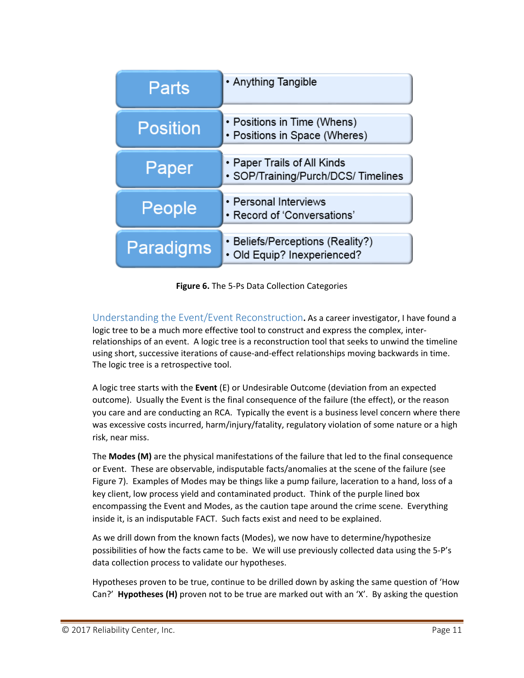| Parts            | • Anything Tangible                                               |
|------------------|-------------------------------------------------------------------|
| <b>Position</b>  | • Positions in Time (Whens)<br>• Positions in Space (Wheres)      |
| Paper            | • Paper Trails of All Kinds<br>• SOP/Training/Purch/DCS/Timelines |
| People           | • Personal Interviews<br>• Record of 'Conversations'              |
| <b>Paradigms</b> | • Beliefs/Perceptions (Reality?)<br>· Old Equip? Inexperienced?   |

**Figure 6.** The 5‐Ps Data Collection Categories

Understanding the Event/Event Reconstruction**.** As a career investigator, I have found a logic tree to be a much more effective tool to construct and express the complex, inter‐ relationships of an event. A logic tree is a reconstruction tool that seeks to unwind the timeline using short, successive iterations of cause-and-effect relationships moving backwards in time. The logic tree is a retrospective tool.

A logic tree starts with the **Event** (E) or Undesirable Outcome (deviation from an expected outcome). Usually the Event is the final consequence of the failure (the effect), or the reason you care and are conducting an RCA. Typically the event is a business level concern where there was excessive costs incurred, harm/injury/fatality, regulatory violation of some nature or a high risk, near miss.

The **Modes (M)** are the physical manifestations of the failure that led to the final consequence or Event. These are observable, indisputable facts/anomalies at the scene of the failure (see Figure 7). Examples of Modes may be things like a pump failure, laceration to a hand, loss of a key client, low process yield and contaminated product. Think of the purple lined box encompassing the Event and Modes, as the caution tape around the crime scene. Everything inside it, is an indisputable FACT. Such facts exist and need to be explained.

As we drill down from the known facts (Modes), we now have to determine/hypothesize possibilities of how the facts came to be. We will use previously collected data using the 5‐P's data collection process to validate our hypotheses.

Hypotheses proven to be true, continue to be drilled down by asking the same question of 'How Can?' **Hypotheses (H)** proven not to be true are marked out with an 'X'. By asking the question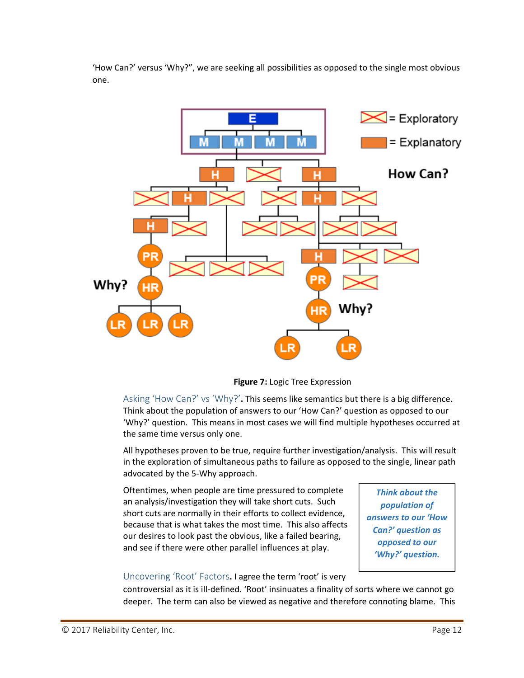'How Can?' versus 'Why?", we are seeking all possibilities as opposed to the single most obvious one.



**Figure 7:** Logic Tree Expression

Asking 'How Can?' vs 'Why?'**.** This seems like semantics but there is a big difference. Think about the population of answers to our 'How Can?' question as opposed to our 'Why?' question. This means in most cases we will find multiple hypotheses occurred at the same time versus only one.

All hypotheses proven to be true, require further investigation/analysis. This will result in the exploration of simultaneous paths to failure as opposed to the single, linear path advocated by the 5‐Why approach.

Oftentimes, when people are time pressured to complete an analysis/investigation they will take short cuts. Such short cuts are normally in their efforts to collect evidence, because that is what takes the most time. This also affects our desires to look past the obvious, like a failed bearing, and see if there were other parallel influences at play.

*Think about the population of answers to our 'How Can?' question as opposed to our 'Why?' question.*

### Uncovering 'Root' Factors**.** I agree the term 'root' is very

controversial as it is ill‐defined. 'Root' insinuates a finality of sorts where we cannot go deeper. The term can also be viewed as negative and therefore connoting blame. This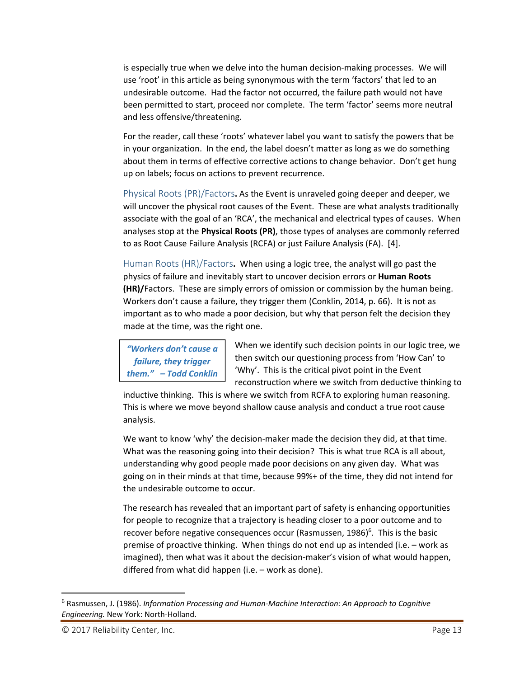is especially true when we delve into the human decision‐making processes. We will use 'root' in this article as being synonymous with the term 'factors' that led to an undesirable outcome. Had the factor not occurred, the failure path would not have been permitted to start, proceed nor complete. The term 'factor' seems more neutral and less offensive/threatening.

For the reader, call these 'roots' whatever label you want to satisfy the powers that be in your organization. In the end, the label doesn't matter as long as we do something about them in terms of effective corrective actions to change behavior. Don't get hung up on labels; focus on actions to prevent recurrence.

Physical Roots (PR)/Factors**.** As the Event is unraveled going deeper and deeper, we will uncover the physical root causes of the Event. These are what analysts traditionally associate with the goal of an 'RCA', the mechanical and electrical types of causes. When analyses stop at the **Physical Roots (PR)**, those types of analyses are commonly referred to as Root Cause Failure Analysis (RCFA) or just Failure Analysis (FA). [4].

Human Roots (HR)/Factors**.** When using a logic tree, the analyst will go past the physics of failure and inevitably start to uncover decision errors or **Human Roots (HR)/**Factors. These are simply errors of omission or commission by the human being. Workers don't cause a failure, they trigger them (Conklin, 2014, p. 66). It is not as important as to who made a poor decision, but why that person felt the decision they made at the time, was the right one.

*"Workers don't cause a failure, they trigger them." – Todd Conklin* When we identify such decision points in our logic tree, we then switch our questioning process from 'How Can' to 'Why'. This is the critical pivot point in the Event reconstruction where we switch from deductive thinking to

inductive thinking. This is where we switch from RCFA to exploring human reasoning. This is where we move beyond shallow cause analysis and conduct a true root cause analysis.

We want to know 'why' the decision-maker made the decision they did, at that time. What was the reasoning going into their decision? This is what true RCA is all about, understanding why good people made poor decisions on any given day. What was going on in their minds at that time, because 99%+ of the time, they did not intend for the undesirable outcome to occur.

The research has revealed that an important part of safety is enhancing opportunities for people to recognize that a trajectory is heading closer to a poor outcome and to recover before negative consequences occur (Rasmussen, 1986)<sup>6</sup>. This is the basic premise of proactive thinking. When things do not end up as intended (i.e. – work as imagined), then what was it about the decision-maker's vision of what would happen, differed from what did happen (i.e. – work as done).

<sup>6</sup> Rasmussen, J. (1986). *Information Processing and Human‐Machine Interaction: An Approach to Cognitive Engineering.* New York: North‐Holland.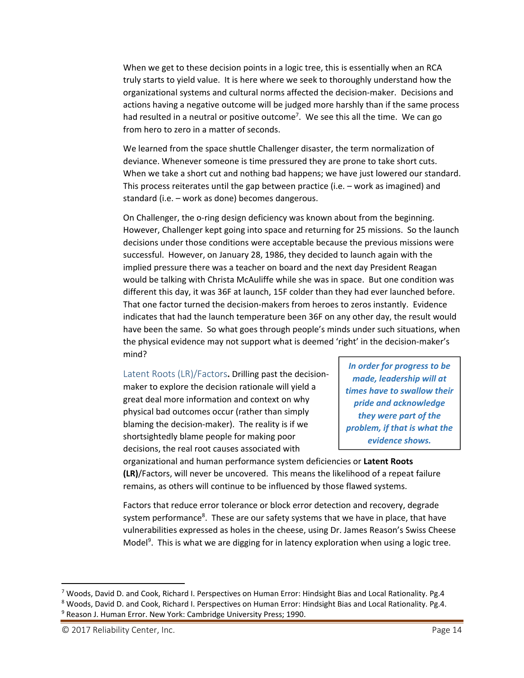When we get to these decision points in a logic tree, this is essentially when an RCA truly starts to yield value. It is here where we seek to thoroughly understand how the organizational systems and cultural norms affected the decision‐maker. Decisions and actions having a negative outcome will be judged more harshly than if the same process had resulted in a neutral or positive outcome<sup>7</sup>. We see this all the time. We can go from hero to zero in a matter of seconds.

We learned from the space shuttle Challenger disaster, the term normalization of deviance. Whenever someone is time pressured they are prone to take short cuts. When we take a short cut and nothing bad happens; we have just lowered our standard. This process reiterates until the gap between practice (i.e. – work as imagined) and standard (i.e. – work as done) becomes dangerous.

On Challenger, the o-ring design deficiency was known about from the beginning. However, Challenger kept going into space and returning for 25 missions. So the launch decisions under those conditions were acceptable because the previous missions were successful. However, on January 28, 1986, they decided to launch again with the implied pressure there was a teacher on board and the next day President Reagan would be talking with Christa McAuliffe while she was in space. But one condition was different this day, it was 36F at launch, 15F colder than they had ever launched before. That one factor turned the decision‐makers from heroes to zeros instantly. Evidence indicates that had the launch temperature been 36F on any other day, the result would have been the same. So what goes through people's minds under such situations, when the physical evidence may not support what is deemed 'right' in the decision‐maker's mind?

Latent Roots (LR)/Factors**.** Drilling past the decision‐ maker to explore the decision rationale will yield a great deal more information and context on why physical bad outcomes occur (rather than simply blaming the decision‐maker). The reality is if we shortsightedly blame people for making poor decisions, the real root causes associated with

*In order for progress to be made, leadership will at times have to swallow their pride and acknowledge they were part of the problem, if that is what the evidence shows.*

organizational and human performance system deficiencies or **Latent Roots (LR)**/Factors, will never be uncovered. This means the likelihood of a repeat failure remains, as others will continue to be influenced by those flawed systems.

Factors that reduce error tolerance or block error detection and recovery, degrade system performance<sup>8</sup>. These are our safety systems that we have in place, that have vulnerabilities expressed as holes in the cheese, using Dr. James Reason's Swiss Cheese Model<sup>9</sup>. This is what we are digging for in latency exploration when using a logic tree.

<sup>7</sup> Woods, David D. and Cook, Richard I. Perspectives on Human Error: Hindsight Bias and Local Rationality. Pg.4 <sup>8</sup> Woods, David D. and Cook, Richard I. Perspectives on Human Error: Hindsight Bias and Local Rationality. Pg.4. <sup>9</sup> Reason J. Human Error. New York: Cambridge University Press; 1990.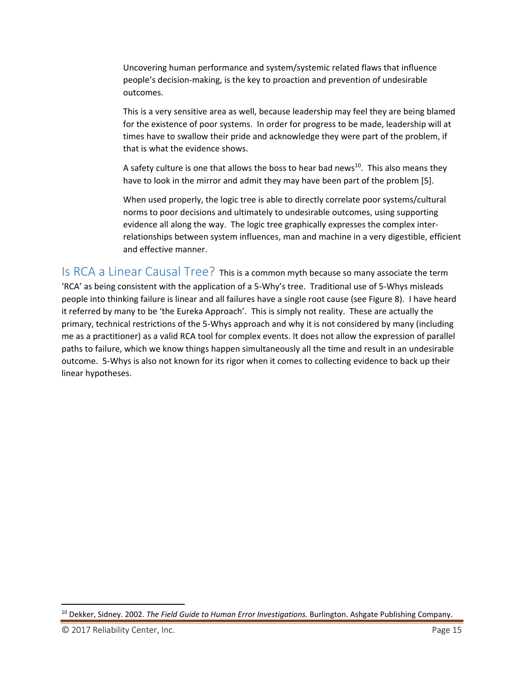Uncovering human performance and system/systemic related flaws that influence people's decision‐making, is the key to proaction and prevention of undesirable outcomes.

This is a very sensitive area as well, because leadership may feel they are being blamed for the existence of poor systems. In order for progress to be made, leadership will at times have to swallow their pride and acknowledge they were part of the problem, if that is what the evidence shows.

A safety culture is one that allows the boss to hear bad news<sup>10</sup>. This also means they have to look in the mirror and admit they may have been part of the problem [5].

When used properly, the logic tree is able to directly correlate poor systems/cultural norms to poor decisions and ultimately to undesirable outcomes, using supporting evidence all along the way. The logic tree graphically expresses the complex inter‐ relationships between system influences, man and machine in a very digestible, efficient and effective manner.

Is RCA a Linear Causal Tree? This is <sup>a</sup> common myth because so many associate the term 'RCA' as being consistent with the application of a 5‐Why's tree. Traditional use of 5‐Whys misleads people into thinking failure is linear and all failures have a single root cause (see Figure 8). I have heard it referred by many to be 'the Eureka Approach'. This is simply not reality. These are actually the primary, technical restrictions of the 5‐Whys approach and why it is not considered by many (including me as a practitioner) as a valid RCA tool for complex events. It does not allow the expression of parallel paths to failure, which we know things happen simultaneously all the time and result in an undesirable outcome. 5‐Whys is also not known for its rigor when it comes to collecting evidence to back up their linear hypotheses.

<sup>10</sup> Dekker, Sidney. 2002. *The Field Guide to Human Error Investigations.* Burlington. Ashgate Publishing Company.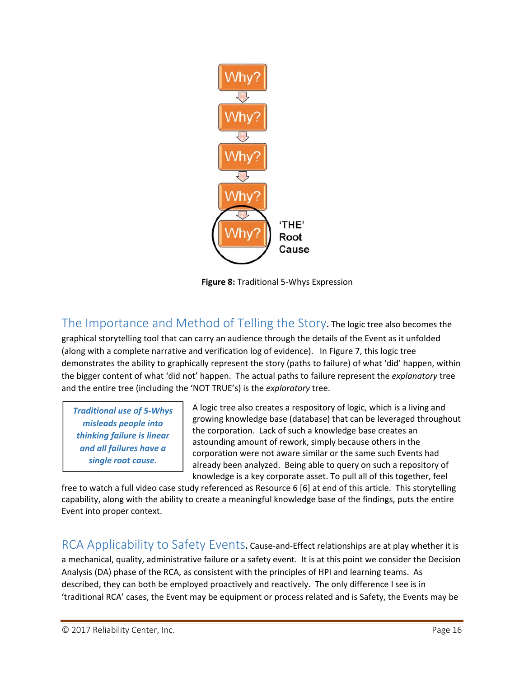

**Figure 8:** Traditional 5‐Whys Expression

The Importance and Method of Telling the Story**.** The logic tree also becomes the graphical storytelling tool that can carry an audience through the details of the Event as it unfolded (along with a complete narrative and verification log of evidence). In Figure 7, this logic tree demonstrates the ability to graphically represent the story (paths to failure) of what 'did' happen, within the bigger content of what 'did not' happen. The actual paths to failure represent the *explanatory* tree and the entire tree (including the 'NOT TRUE's) is the *exploratory* tree.

*Traditional use of 5‐Whys misleads people into thinking failure is linear and all failures have a single root cause.*

A logic tree also creates a respository of logic, which is a living and growing knowledge base (database) that can be leveraged throughout the corporation. Lack of such a knowledge base creates an astounding amount of rework, simply because others in the corporation were not aware similar or the same such Events had already been analyzed. Being able to query on such a repository of knowledge is a key corporate asset. To pull all of this together, feel

free to watch a full video case study referenced as Resource 6 [6] at end of this article. This storytelling capability, along with the ability to create a meaningful knowledge base of the findings, puts the entire Event into proper context.

RCA Applicability to Safety Events. Cause-and-Effect relationships are at play whether it is a mechanical, quality, administrative failure or a safety event. It is at this point we consider the Decision Analysis (DA) phase of the RCA, as consistent with the principles of HPI and learning teams. As described, they can both be employed proactively and reactively. The only difference I see is in 'traditional RCA' cases, the Event may be equipment or process related and is Safety, the Events may be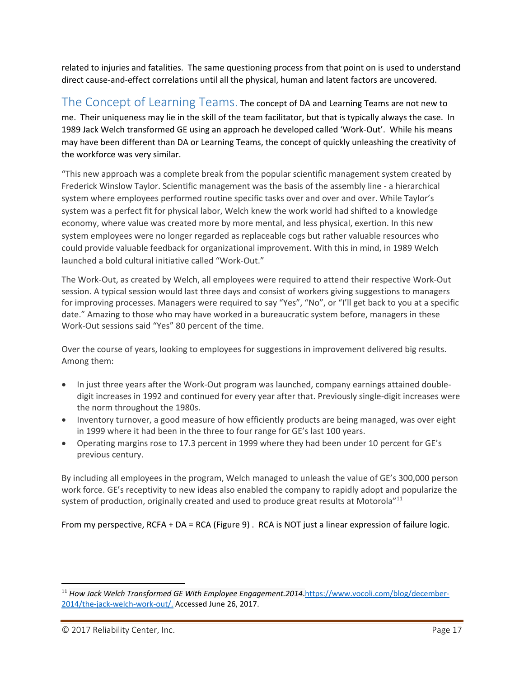related to injuries and fatalities. The same questioning process from that point on is used to understand direct cause‐and‐effect correlations until all the physical, human and latent factors are uncovered.

The Concept of Learning Teams. The concept of DA and Learning Teams are not new to me. Their uniqueness may lie in the skill of the team facilitator, but that is typically always the case. In 1989 Jack Welch transformed GE using an approach he developed called 'Work‐Out'. While his means may have been different than DA or Learning Teams, the concept of quickly unleashing the creativity of the workforce was very similar.

"This new approach was a complete break from the popular scientific management system created by Frederick Winslow Taylor. Scientific management was the basis of the assembly line ‐ a hierarchical system where employees performed routine specific tasks over and over and over. While Taylor's system was a perfect fit for physical labor, Welch knew the work world had shifted to a knowledge economy, where value was created more by more mental, and less physical, exertion. In this new system employees were no longer regarded as replaceable cogs but rather valuable resources who could provide valuable feedback for organizational improvement. With this in mind, in 1989 Welch launched a bold cultural initiative called "Work‐Out."

The Work‐Out, as created by Welch, all employees were required to attend their respective Work‐Out session. A typical session would last three days and consist of workers giving suggestions to managers for improving processes. Managers were required to say "Yes", "No", or "I'll get back to you at a specific date." Amazing to those who may have worked in a bureaucratic system before, managers in these Work‐Out sessions said "Yes" 80 percent of the time.

Over the course of years, looking to employees for suggestions in improvement delivered big results. Among them:

- In just three years after the Work-Out program was launched, company earnings attained doubledigit increases in 1992 and continued for every year after that. Previously single‐digit increases were the norm throughout the 1980s.
- Inventory turnover, a good measure of how efficiently products are being managed, was over eight in 1999 where it had been in the three to four range for GE's last 100 years.
- Operating margins rose to 17.3 percent in 1999 where they had been under 10 percent for GE's previous century.

By including all employees in the program, Welch managed to unleash the value of GE's 300,000 person work force. GE's receptivity to new ideas also enabled the company to rapidly adopt and popularize the system of production, originally created and used to produce great results at Motorola"<sup>11</sup>

From my perspective, RCFA + DA = RCA (Figure 9) . RCA is NOT just a linear expression of failure logic.

<sup>11</sup> *How Jack Welch Transformed GE With Employee Engagement.2014*.https://www.vocoli.com/blog/december‐ 2014/the‐jack‐welch‐work‐out/. Accessed June 26, 2017.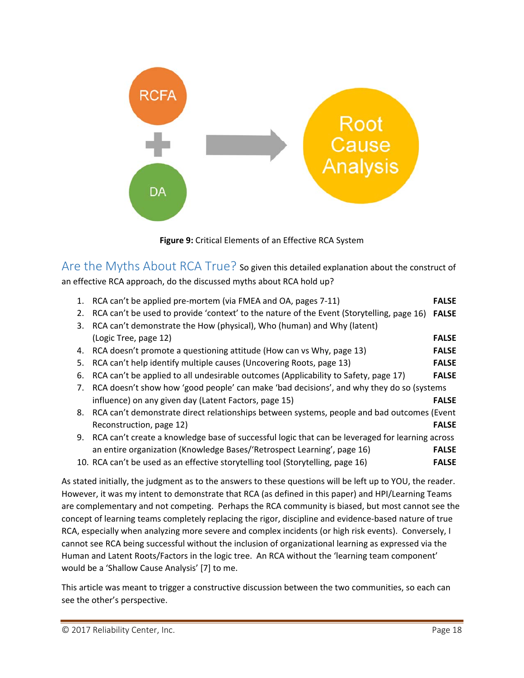



Are the Myths About RCA True? So given this detailed explanation about the construct of an effective RCA approach, do the discussed myths about RCA hold up?

|    | 1. RCA can't be applied pre-mortem (via FMEA and OA, pages 7-11)                                | <b>FALSE</b> |
|----|-------------------------------------------------------------------------------------------------|--------------|
| 2. | RCA can't be used to provide 'context' to the nature of the Event (Storytelling, page 16)       | <b>FALSE</b> |
| 3. | RCA can't demonstrate the How (physical), Who (human) and Why (latent)                          |              |
|    | (Logic Tree, page 12)                                                                           | <b>FALSE</b> |
|    | 4. RCA doesn't promote a questioning attitude (How can vs Why, page 13)                         | <b>FALSE</b> |
| 5. | RCA can't help identify multiple causes (Uncovering Roots, page 13)                             | <b>FALSE</b> |
| 6. | RCA can't be applied to all undesirable outcomes (Applicability to Safety, page 17)             | <b>FALSE</b> |
| 7. | RCA doesn't show how 'good people' can make 'bad decisions', and why they do so (systems        |              |
|    | influence) on any given day (Latent Factors, page 15)                                           | <b>FALSE</b> |
|    | 8. RCA can't demonstrate direct relationships between systems, people and bad outcomes (Event   |              |
|    | Reconstruction, page 12)                                                                        | <b>FALSE</b> |
| 9. | RCA can't create a knowledge base of successful logic that can be leveraged for learning across |              |
|    | an entire organization (Knowledge Bases/'Retrospect Learning', page 16)                         | <b>FALSE</b> |
|    | 10. RCA can't be used as an effective storytelling tool (Storytelling, page 16)                 | <b>FALSE</b> |

As stated initially, the judgment as to the answers to these questions will be left up to YOU, the reader. However, it was my intent to demonstrate that RCA (as defined in this paper) and HPI/Learning Teams are complementary and not competing. Perhaps the RCA community is biased, but most cannot see the concept of learning teams completely replacing the rigor, discipline and evidence‐based nature of true RCA, especially when analyzing more severe and complex incidents (or high risk events). Conversely, I cannot see RCA being successful without the inclusion of organizational learning as expressed via the Human and Latent Roots/Factors in the logic tree. An RCA without the 'learning team component' would be a 'Shallow Cause Analysis' [7] to me.

This article was meant to trigger a constructive discussion between the two communities, so each can see the other's perspective.